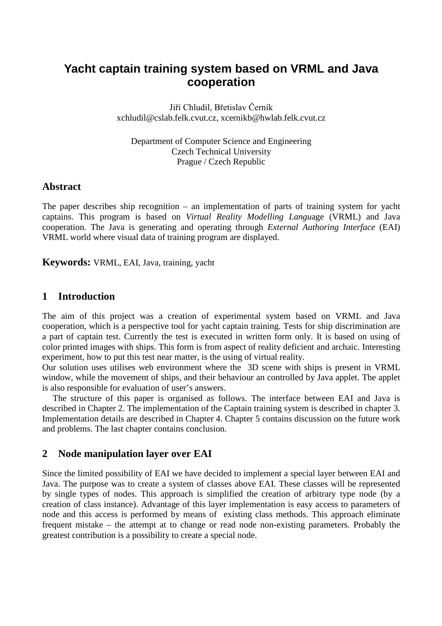# **Yacht captain training system based on VRML and Java cooperation**

Jiří Chludil, Břetislav Cerník xchludil@cslab.felk.cvut.cz, xcernikb@hwlab.felk.cvut.cz

Department of Computer Science and Engineering Czech Technical University Prague / Czech Republic

### **Abstract**

The paper describes ship recognition – an implementation of parts of training system for yacht captains. This program is based on *Virtual Reality Modelling Langu*age (VRML) and Java cooperation. The Java is generating and operating through *External Authoring Interface* (EAI) VRML world where visual data of training program are displayed.

**Keywords:** VRML, EAI, Java, training, yacht

# **1 Introduction**

The aim of this project was a creation of experimental system based on VRML and Java cooperation, which is a perspective tool for yacht captain training. Tests for ship discrimination are a part of captain test. Currently the test is executed in written form only. It is based on using of color printed images with ships. This form is from aspect of reality deficient and archaic. Interesting experiment, how to put this test near matter, is the using of virtual reality.

Our solution uses utilises web environment where the 3D scene with ships is present in VRML window, while the movement of ships, and their behaviour an controlled by Java applet. The applet is also responsible for evaluation of user's answers.

The structure of this paper is organised as follows. The interface between EAI and Java is described in Chapter 2. The implementation of the Captain training system is described in chapter 3. Implementation details are described in Chapter 4. Chapter 5 contains discussion on the future work and problems. The last chapter contains conclusion.

# **2 Node manipulation layer over EAI**

Since the limited possibility of EAI we have decided to implement a special layer between EAI and Java. The purpose was to create a system of classes above EAI. These classes will be represented by single types of nodes. This approach is simplified the creation of arbitrary type node (by a creation of class instance). Advantage of this layer implementation is easy access to parameters of node and this access is performed by means of existing class methods. This approach eliminate frequent mistake – the attempt at to change or read node non-existing parameters. Probably the greatest contribution is a possibility to create a special node.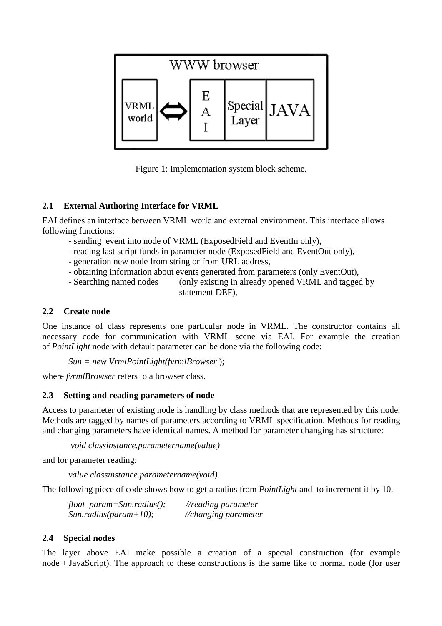

Figure 1: Implementation system block scheme.

# **2.1 External Authoring Interface for VRML**

EAI defines an interface between VRML world and external environment. This interface allows following functions:

- sending event into node of VRML (ExposedField and EventIn only),
- reading last script funds in parameter node (ExposedField and EventOut only),
- generation new node from string or from URL address,
- obtaining information about events generated from parameters (only EventOut),
- Searching named nodes (only existing in already opened VRML and tagged by statement DEF),

### **2.2 Create node**

One instance of class represents one particular node in VRML. The constructor contains all necessary code for communication with VRML scene via EAI. For example the creation of *PointLight* node with default parameter can be done via the following code:

*Sun = new VrmlPointLight(fvrmlBrowser* );

where *fvrmlBrowser* refers to a browser class.

### **2.3 Setting and reading parameters of node**

Access to parameter of existing node is handling by class methods that are represented by this node. Methods are tagged by names of parameters according to VRML specification. Methods for reading and changing parameters have identical names. A method for parameter changing has structure:

*void classinstance.parametername(value)*

and for parameter reading:

*value classinstance.parametername(void).*

The following piece of code shows how to get a radius from *PointLight* and to increment it by 10.

| float $param = Sun, radius($ ; | $\sqrt{2}$ //reading parameter |
|--------------------------------|--------------------------------|
| $Sun. radius(param+10);$       | //changing parameter           |

### **2.4 Special nodes**

The layer above EAI make possible a creation of a special construction (for example node + JavaScript). The approach to these constructions is the same like to normal node (for user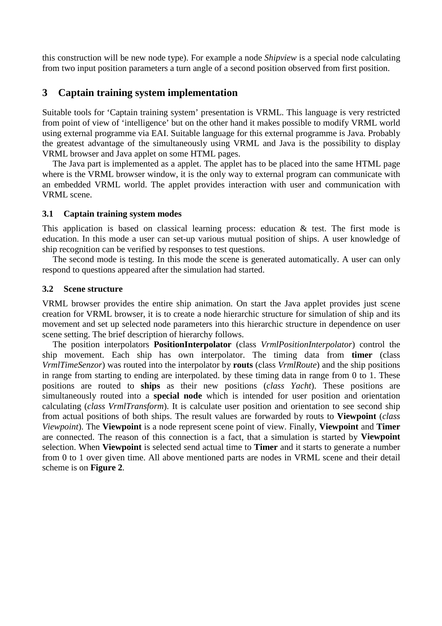this construction will be new node type). For example a node *Shipview* is a special node calculating from two input position parameters a turn angle of a second position observed from first position.

# **3 Captain training system implementation**

Suitable tools for 'Captain training system' presentation is VRML. This language is very restricted from point of view of 'intelligence' but on the other hand it makes possible to modify VRML world using external programme via EAI. Suitable language for this external programme is Java. Probably the greatest advantage of the simultaneously using VRML and Java is the possibility to display VRML browser and Java applet on some HTML pages.

The Java part is implemented as a applet. The applet has to be placed into the same HTML page where is the VRML browser window, it is the only way to external program can communicate with an embedded VRML world. The applet provides interaction with user and communication with VRML scene.

#### **3.1 Captain training system modes**

This application is based on classical learning process: education & test. The first mode is education. In this mode a user can set-up various mutual position of ships. A user knowledge of ship recognition can be verified by responses to test questions.

The second mode is testing. In this mode the scene is generated automatically. A user can only respond to questions appeared after the simulation had started.

#### **3.2 Scene structure**

VRML browser provides the entire ship animation. On start the Java applet provides just scene creation for VRML browser, it is to create a node hierarchic structure for simulation of ship and its movement and set up selected node parameters into this hierarchic structure in dependence on user scene setting. The brief description of hierarchy follows.

The position interpolators **PositionInterpolator** (class *VrmlPositionInterpolator*) control the ship movement. Each ship has own interpolator. The timing data from **timer** (class *VrmlTimeSenzor*) was routed into the interpolator by **routs** (class *VrmlRoute*) and the ship positions in range from starting to ending are interpolated. by these timing data in range from 0 to 1. These positions are routed to **ships** as their new positions (*class Yacht*). These positions are simultaneously routed into a **special node** which is intended for user position and orientation calculating (*class VrmlTransform*). It is calculate user position and orientation to see second ship from actual positions of both ships. The result values are forwarded by routs to **Viewpoint** (*class Viewpoint*). The **Viewpoint** is a node represent scene point of view. Finally, **Viewpoint** and **Timer** are connected. The reason of this connection is a fact, that a simulation is started by **Viewpoint** selection. When **Viewpoint** is selected send actual time to **Timer** and it starts to generate a number from 0 to 1 over given time. All above mentioned parts are nodes in VRML scene and their detail scheme is on **Figure 2**.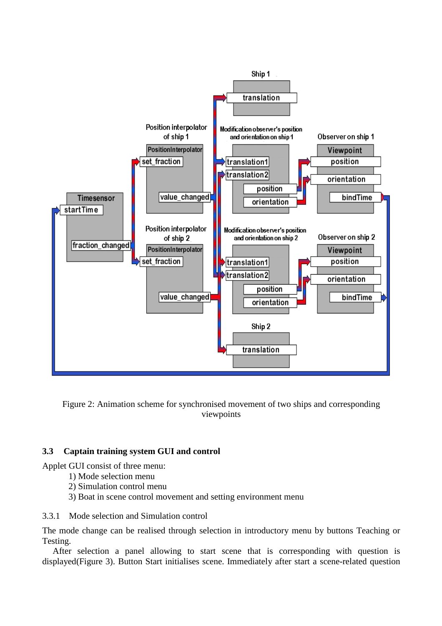

Figure 2: Animation scheme for synchronised movement of two ships and corresponding viewpoints

### **3.3 Captain training system GUI and control**

Applet GUI consist of three menu:

- 1) Mode selection menu
- 2) Simulation control menu
- 3) Boat in scene control movement and setting environment menu

#### 3.3.1 Mode selection and Simulation control

The mode change can be realised through selection in introductory menu by buttons Teaching or Testing.

After selection a panel allowing to start scene that is corresponding with question is displayed(Figure 3). Button Start initialises scene. Immediately after start a scene-related question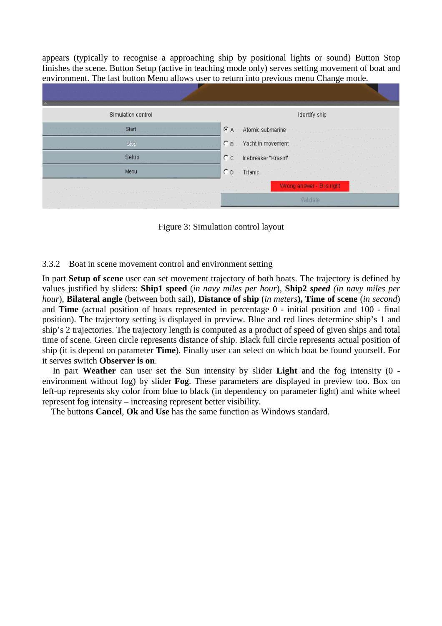appears (typically to recognise a approaching ship by positional lights or sound) Button Stop finishes the scene. Button Setup (active in teaching mode only) serves setting movement of boat and environment. The last button Menu allows user to return into previous menu Change mode.

| Simulation control                                                                                                                                                                                                                                                | Identify ship                                                                                                                                                |
|-------------------------------------------------------------------------------------------------------------------------------------------------------------------------------------------------------------------------------------------------------------------|--------------------------------------------------------------------------------------------------------------------------------------------------------------|
| Start,                                                                                                                                                                                                                                                            | CA Atomic submarine Atomic Atomic Atomic<br>and a series and a series of the series of the series of the series of the series of the series of the series of |
| Stop<br>the control of the control of the control of the<br><b>Contract Contract</b><br>$-1 - 1 - 1$                                                                                                                                                              | $\overline{C}$ B $\cdots$ Yacht in movement                                                                                                                  |
| Setup                                                                                                                                                                                                                                                             | Icebreaker "Krasin"<br>$C$ c                                                                                                                                 |
| Menu                                                                                                                                                                                                                                                              | $CD$ Titanic<br>the company of<br>Service Control                                                                                                            |
| and the first state and<br>and the state of the state                                                                                                                                                                                                             | the committee of the<br>Wrong answer - B is right<br>The Contractor<br><b>COLLECTION</b><br><b>Contract Contract</b>                                         |
| 计相对程序 化非共振性 经总额利润 经销售价格 化热电阻<br>the first control of the top of<br>the contract of the con-<br>The Contract<br><b>Contract Contract</b><br>and the control<br>and the control<br>The property of<br>the company of the company<br>the contract of the contract of |                                                                                                                                                              |

Figure 3: Simulation control layout

#### 3.3.2 Boat in scene movement control and environment setting

In part **Setup of scene** user can set movement trajectory of both boats. The trajectory is defined by values justified by sliders: **Ship1 speed** (*in navy miles per hour*), **Ship2** *speed (in navy miles per hour*), **Bilateral angle** (between both sail), **Distance of ship** (*in meters***), Time of scene** (*in second*) and **Time** (actual position of boats represented in percentage 0 - initial position and 100 - final position). The trajectory setting is displayed in preview. Blue and red lines determine ship's 1 and ship's 2 trajectories. The trajectory length is computed as a product of speed of given ships and total time of scene. Green circle represents distance of ship. Black full circle represents actual position of ship (it is depend on parameter **Time**). Finally user can select on which boat be found yourself. For it serves switch **Observer is on**.

In part **Weather** can user set the Sun intensity by slider **Light** and the fog intensity (0 environment without fog) by slider **Fog**. These parameters are displayed in preview too. Box on left-up represents sky color from blue to black (in dependency on parameter light) and white wheel represent fog intensity – increasing represent better visibility.

The buttons **Cancel**, **Ok** and **Use** has the same function as Windows standard.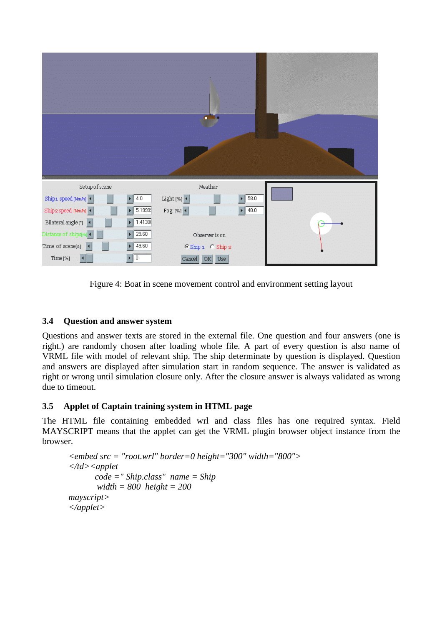

Figure 4: Boat in scene movement control and environment setting layout

# **3.4 Question and answer system**

Questions and answer texts are stored in the external file. One question and four answers (one is right.) are randomly chosen after loading whole file. A part of every question is also name of VRML file with model of relevant ship. The ship determinate by question is displayed. Question and answers are displayed after simulation start in random sequence. The answer is validated as right or wrong until simulation closure only. After the closure answer is always validated as wrong due to timeout.

# **3.5 Applet of Captain training system in HTML page**

The HTML file containing embedded wrl and class files has one required syntax. Field MAYSCRIPT means that the applet can get the VRML plugin browser object instance from the browser.

```
<embed src = "root.wrl" border=0 height="300" width="800">
</td><applet
       code =" Ship.class" name = Ship
       width = 800 height = 200
mayscript>
</applet>
```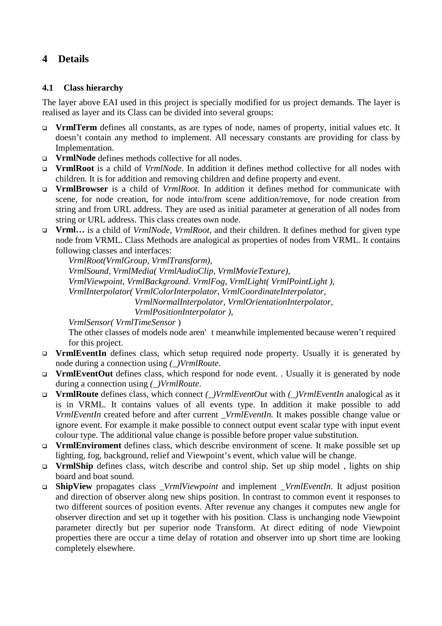# **4 Details**

### **4.1 Class hierarchy**

The layer above EAI used in this project is specially modified for us project demands. The layer is realised as layer and its Class can be divided into several groups:

- **VrmlTerm** defines all constants, as are types of node, names of property, initial values etc. It doesn't contain any method to implement. All necessary constants are providing for class by Implementation.
- **VrmlNode** defines methods collective for all nodes.
- **VrmlRoot** is a child of *VrmlNode*. In addition it defines method collective for all nodes with children. It is for addition and removing children and define property and event.
- **VrmlBrowser** is a child of *VrmlRoot*. In addition it defines method for communicate with scene, for node creation, for node into/from scene addition/remove, for node creation from string and from URL address. They are used as initial parameter at generation of all nodes from string or URL address. This class creates own node.
- **Vrml…** is a child of *VrmlNode*, *VrmlRoot*, and their children. It defines method for given type node from VRML. Class Methods are analogical as properties of nodes from VRML. It contains following classes and interfaces:

*VrmlRoot(VrmlGroup, VrmlTransform), VrmlSound, VrmlMedia( VrmlAudioClip, VrmlMovieTexture), VrmlViewpoint, VrmlBackground. VrmlFog, VrmlLight( VrmlPointLight ), VrmlInterpolator( VrmlColorInterpolator, VrmlCoordinateInterpolator, VrmlNormalInterpolator, VrmlOrientationInterpolator,*

*VrmlPositionInterpolator ),*

*VrmlSensor( VrmlTimeSensor* )

The other classes of models node aren' t meanwhile implemented because weren't required for this project.

- **VrmlEventIn** defines class, which setup required node property. Usually it is generated by node during a connection using *(\_)VrmlRoute*.
- **VrmlEventOut** defines class, which respond for node event. . Usually it is generated by node during a connection using *(\_)VrmlRoute*.
- **VrmlRoute** defines class, which connect *(\_)VrmlEventOut* with *(\_)VrmlEventIn* analogical as it is in VRML. It contains values of all events type. In addition it make possible to add *VrmlEventIn* created before and after current \_*VrmlEventIn.* It makes possible change value or ignore event. For example it make possible to connect output event scalar type with input event colour type. The additional value change is possible before proper value substitution.
- **VrmlEnviroment** defines class, which describe environment of scene. It make possible set up lighting, fog, background, relief and Viewpoint's event, which value will be change.
- **VrmlShip** defines class, witch describe and control ship. Set up ship model , lights on ship board and boat sound.
- **ShipView** propagates class *\_VrmlViewpoint* and implement \_*VrmlEventIn*. It adjust position and direction of observer along new ships position. In contrast to common event it responses to two different sources of position events. After revenue any changes it computes new angle for observer direction and set up it together with his position. Class is unchanging node Viewpoint parameter directly but per superior node Transform. At direct editing of node Viewpoint properties there are occur a time delay of rotation and observer into up short time are looking completely elsewhere.